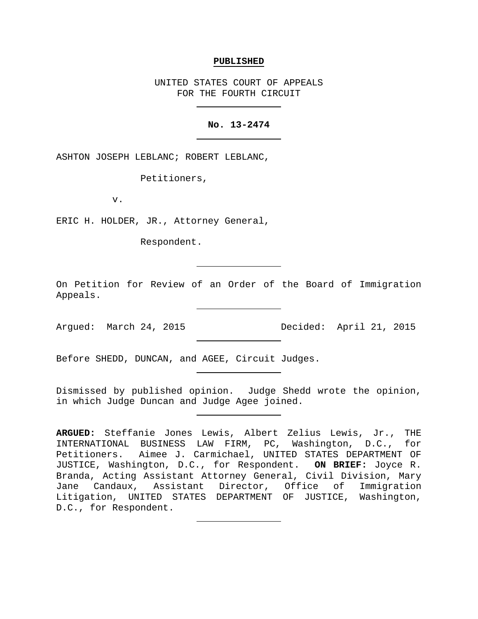#### **PUBLISHED**

UNITED STATES COURT OF APPEALS FOR THE FOURTH CIRCUIT

### **No. 13-2474**

ASHTON JOSEPH LEBLANC; ROBERT LEBLANC,

Petitioners,

v.

ERIC H. HOLDER, JR., Attorney General,

Respondent.

On Petition for Review of an Order of the Board of Immigration Appeals.

Argued: March 24, 2015 Decided: April 21, 2015

Before SHEDD, DUNCAN, and AGEE, Circuit Judges.

Dismissed by published opinion. Judge Shedd wrote the opinion, in which Judge Duncan and Judge Agee joined.

**ARGUED:** Steffanie Jones Lewis, Albert Zelius Lewis, Jr., THE INTERNATIONAL BUSINESS LAW FIRM, PC, Washington, D.C., for Petitioners. Aimee J. Carmichael, UNITED STATES DEPARTMENT OF JUSTICE, Washington, D.C., for Respondent. **ON BRIEF:** Joyce R. Branda, Acting Assistant Attorney General, Civil Division, Mary Jane Candaux, Assistant Director, Office of Immigration Litigation, UNITED STATES DEPARTMENT OF JUSTICE, Washington, D.C., for Respondent.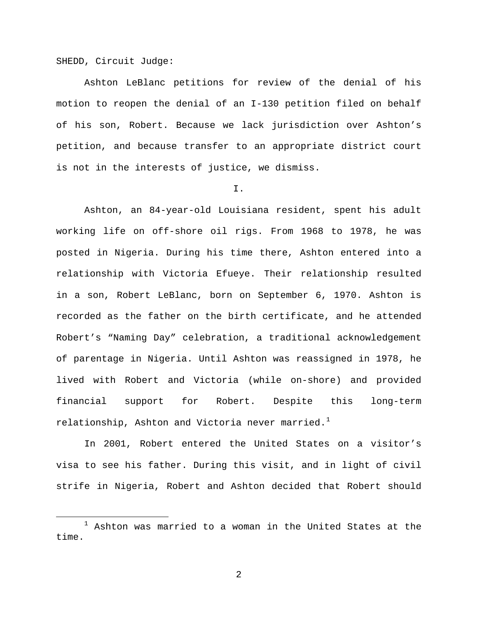SHEDD, Circuit Judge:

Ashton LeBlanc petitions for review of the denial of his motion to reopen the denial of an I-130 petition filed on behalf of his son, Robert. Because we lack jurisdiction over Ashton's petition, and because transfer to an appropriate district court is not in the interests of justice, we dismiss.

#### I.

Ashton, an 84-year-old Louisiana resident, spent his adult working life on off-shore oil rigs. From 1968 to 1978, he was posted in Nigeria. During his time there, Ashton entered into a relationship with Victoria Efueye. Their relationship resulted in a son, Robert LeBlanc, born on September 6, 1970. Ashton is recorded as the father on the birth certificate, and he attended Robert's "Naming Day" celebration, a traditional acknowledgement of parentage in Nigeria. Until Ashton was reassigned in 1978, he lived with Robert and Victoria (while on-shore) and provided financial support for Robert. Despite this long-term relationship, Ashton and Victoria never married.<sup>[1](#page-1-0)</sup>

In 2001, Robert entered the United States on a visitor's visa to see his father. During this visit, and in light of civil strife in Nigeria, Robert and Ashton decided that Robert should

<span id="page-1-0"></span> $1$  Ashton was married to a woman in the United States at the time.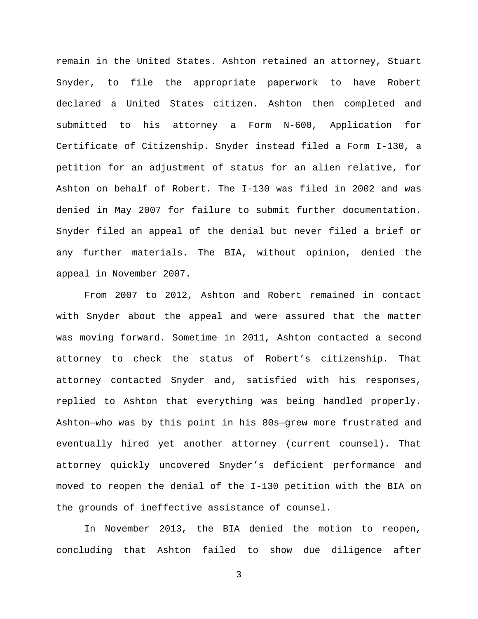remain in the United States. Ashton retained an attorney, Stuart Snyder, to file the appropriate paperwork to have Robert declared a United States citizen. Ashton then completed and submitted to his attorney a Form N-600, Application for Certificate of Citizenship. Snyder instead filed a Form I-130, a petition for an adjustment of status for an alien relative, for Ashton on behalf of Robert. The I-130 was filed in 2002 and was denied in May 2007 for failure to submit further documentation. Snyder filed an appeal of the denial but never filed a brief or any further materials. The BIA, without opinion, denied the appeal in November 2007.

From 2007 to 2012, Ashton and Robert remained in contact with Snyder about the appeal and were assured that the matter was moving forward. Sometime in 2011, Ashton contacted a second attorney to check the status of Robert's citizenship. That attorney contacted Snyder and, satisfied with his responses, replied to Ashton that everything was being handled properly. Ashton—who was by this point in his 80s—grew more frustrated and eventually hired yet another attorney (current counsel). That attorney quickly uncovered Snyder's deficient performance and moved to reopen the denial of the I-130 petition with the BIA on the grounds of ineffective assistance of counsel.

In November 2013, the BIA denied the motion to reopen, concluding that Ashton failed to show due diligence after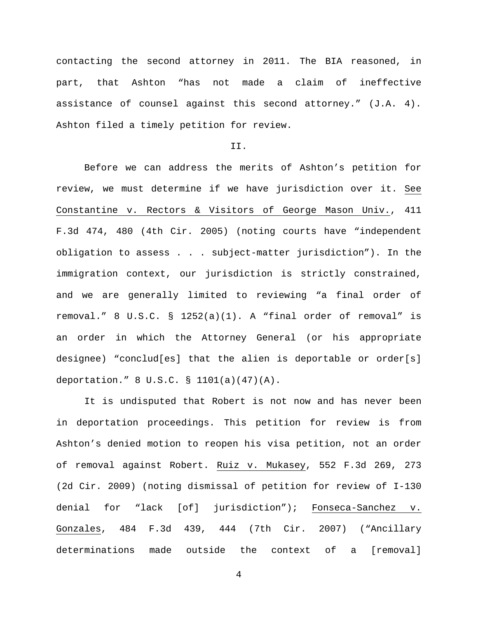contacting the second attorney in 2011. The BIA reasoned, in part, that Ashton "has not made a claim of ineffective assistance of counsel against this second attorney." (J.A. 4). Ashton filed a timely petition for review.

#### II.

Before we can address the merits of Ashton's petition for review, we must determine if we have jurisdiction over it. See Constantine v. Rectors & Visitors of George Mason Univ., 411 F.3d 474, 480 (4th Cir. 2005) (noting courts have "independent obligation to assess . . . subject-matter jurisdiction"). In the immigration context, our jurisdiction is strictly constrained, and we are generally limited to reviewing "a final order of removal." 8 U.S.C. § 1252(a)(1). A "final order of removal" is an order in which the Attorney General (or his appropriate designee) "conclud[es] that the alien is deportable or order[s] deportation." 8 U.S.C. § 1101(a)(47)(A).

It is undisputed that Robert is not now and has never been in deportation proceedings. This petition for review is from Ashton's denied motion to reopen his visa petition, not an order of removal against Robert. Ruiz v. Mukasey, 552 F.3d 269, 273 (2d Cir. 2009) (noting dismissal of petition for review of I-130 denial for "lack [of] jurisdiction"); Fonseca-Sanchez v. Gonzales, 484 F.3d 439, 444 (7th Cir. 2007) ("Ancillary determinations made outside the context of a [removal]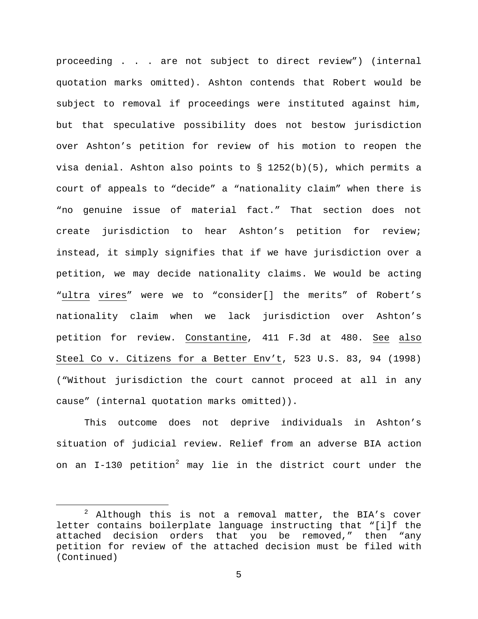proceeding . . . are not subject to direct review") (internal quotation marks omitted). Ashton contends that Robert would be subject to removal if proceedings were instituted against him, but that speculative possibility does not bestow jurisdiction over Ashton's petition for review of his motion to reopen the visa denial. Ashton also points to § 1252(b)(5), which permits a court of appeals to "decide" a "nationality claim" when there is "no genuine issue of material fact." That section does not create jurisdiction to hear Ashton's petition for review; instead, it simply signifies that if we have jurisdiction over a petition, we may decide nationality claims. We would be acting "ultra vires" were we to "consider[] the merits" of Robert's nationality claim when we lack jurisdiction over Ashton's petition for review. Constantine, 411 F.3d at 480. See also Steel Co v. Citizens for a Better Env't, 523 U.S. 83, 94 (1998) ("Without jurisdiction the court cannot proceed at all in any cause" (internal quotation marks omitted)).

This outcome does not deprive individuals in Ashton's situation of judicial review. Relief from an adverse BIA action on an  $I-130$  petition<sup>[2](#page-4-0)</sup> may lie in the district court under the

<span id="page-4-0"></span> $2$  Although this is not a removal matter, the BIA's cover letter contains boilerplate language instructing that "[i]f the attached decision orders that you be removed," then "any petition for review of the attached decision must be filed with (Continued)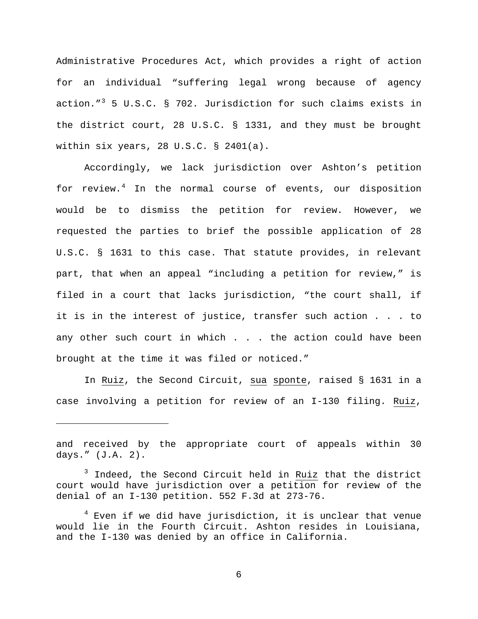Administrative Procedures Act, which provides a right of action for an individual "suffering legal wrong because of agency action."<sup>[3](#page-5-0)</sup> 5 U.S.C. § 702. Jurisdiction for such claims exists in the district court, 28 U.S.C. § 1331, and they must be brought within six years, 28 U.S.C. § 2401(a).

Accordingly, we lack jurisdiction over Ashton's petition for review.<sup>[4](#page-5-1)</sup> In the normal course of events, our disposition would be to dismiss the petition for review. However, we requested the parties to brief the possible application of 28 U.S.C. § 1631 to this case. That statute provides, in relevant part, that when an appeal "including a petition for review," is filed in a court that lacks jurisdiction, "the court shall, if it is in the interest of justice, transfer such action . . . to any other such court in which . . . the action could have been brought at the time it was filed or noticed."

In Ruiz, the Second Circuit, sua sponte, raised § 1631 in a case involving a petition for review of an I-130 filing. Ruiz,

ī

and received by the appropriate court of appeals within 30 days." (J.A. 2).

<span id="page-5-0"></span><sup>3</sup> Indeed, the Second Circuit held in Ruiz that the district court would have jurisdiction over a petition for review of the denial of an I-130 petition. 552 F.3d at 273-76.

<span id="page-5-1"></span> $4$  Even if we did have jurisdiction, it is unclear that venue would lie in the Fourth Circuit. Ashton resides in Louisiana, and the I-130 was denied by an office in California.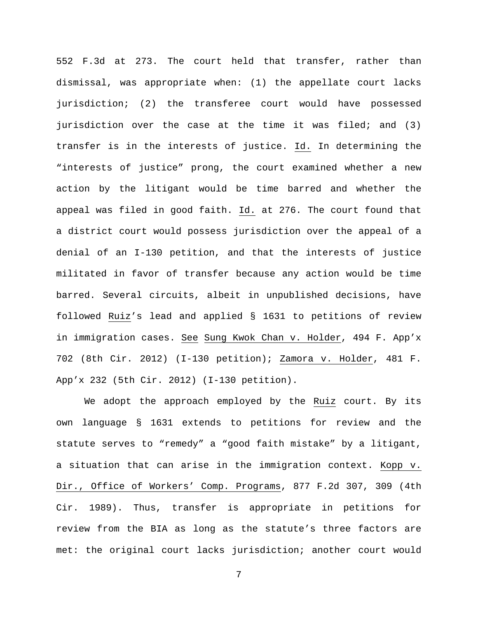552 F.3d at 273. The court held that transfer, rather than dismissal, was appropriate when: (1) the appellate court lacks jurisdiction; (2) the transferee court would have possessed jurisdiction over the case at the time it was filed; and (3) transfer is in the interests of justice. Id. In determining the "interests of justice" prong, the court examined whether a new action by the litigant would be time barred and whether the appeal was filed in good faith. Id. at 276. The court found that a district court would possess jurisdiction over the appeal of a denial of an I-130 petition, and that the interests of justice militated in favor of transfer because any action would be time barred. Several circuits, albeit in unpublished decisions, have followed Ruiz's lead and applied § 1631 to petitions of review in immigration cases. See Sung Kwok Chan v. Holder, 494 F. App'x 702 (8th Cir. 2012) (I-130 petition); Zamora v. Holder, 481 F. App'x 232 (5th Cir. 2012) (I-130 petition).

We adopt the approach employed by the Ruiz court. By its own language § 1631 extends to petitions for review and the statute serves to "remedy" a "good faith mistake" by a litigant, a situation that can arise in the immigration context. Kopp v. Dir., Office of Workers' Comp. Programs, 877 F.2d 307, 309 (4th Cir. 1989). Thus, transfer is appropriate in petitions for review from the BIA as long as the statute's three factors are met: the original court lacks jurisdiction; another court would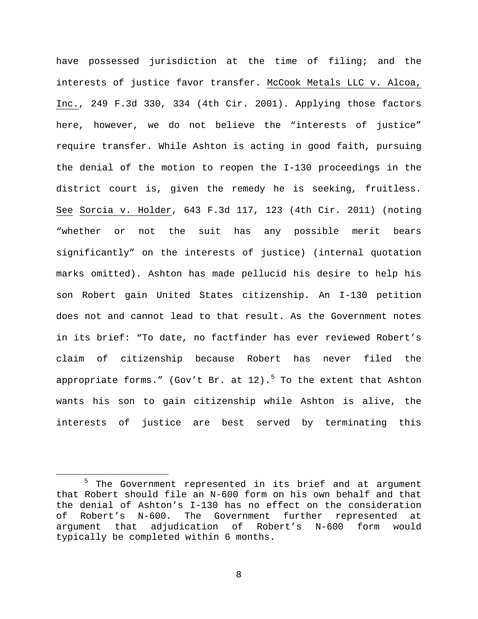have possessed jurisdiction at the time of filing; and the interests of justice favor transfer. McCook Metals LLC v. Alcoa, Inc., 249 F.3d 330, 334 (4th Cir. 2001). Applying those factors here, however, we do not believe the "interests of justice" require transfer. While Ashton is acting in good faith, pursuing the denial of the motion to reopen the I-130 proceedings in the district court is, given the remedy he is seeking, fruitless. See Sorcia v. Holder, 643 F.3d 117, 123 (4th Cir. 2011) (noting "whether or not the suit has any possible merit bears significantly" on the interests of justice) (internal quotation marks omitted). Ashton has made pellucid his desire to help his son Robert gain United States citizenship. An I-130 petition does not and cannot lead to that result. As the Government notes in its brief: "To date, no factfinder has ever reviewed Robert's claim of citizenship because Robert has never filed the appropriate forms." (Gov't Br. at  $12$ ).<sup>[5](#page-7-0)</sup> To the extent that Ashton wants his son to gain citizenship while Ashton is alive, the interests of justice are best served by terminating this

<span id="page-7-0"></span><sup>&</sup>lt;sup>5</sup> The Government represented in its brief and at argument that Robert should file an N-600 form on his own behalf and that the denial of Ashton's I-130 has no effect on the consideration<br>of Robert's N-600. The Government further represented at The Government further represented at argument that adjudication of Robert's N-600 form would typically be completed within 6 months.